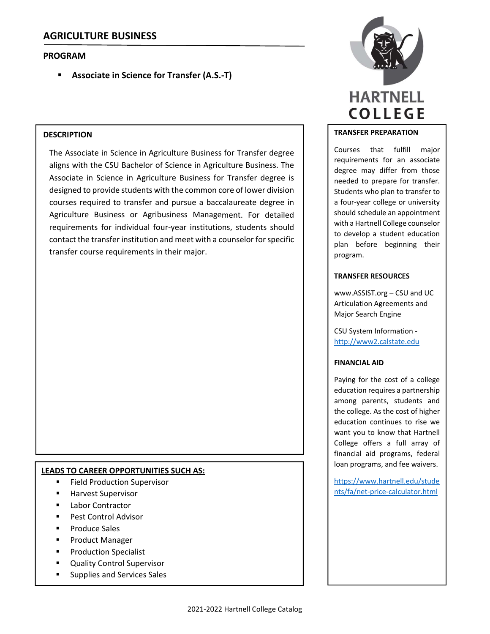# **PROGRAM**

**Associate in Science for Transfer (A.S.‐T)**

## **DESCRIPTION**

The Associate in Science in Agriculture Business for Transfer degree aligns with the CSU Bachelor of Science in Agriculture Business. The Associate in Science in Agriculture Business for Transfer degree is designed to provide students with the common core of lower division courses required to transfer and pursue a baccalaureate degree in Agriculture Business or Agribusiness Management. For detailed requirements for individual four‐year institutions, students should contact the transfer institution and meet with a counselor for specific transfer course requirements in their major.

### **LEADS TO CAREER OPPORTUNITIES SUCH AS:**

- Field Production Supervisor
- Harvest Supervisor
- Labor Contractor
- Pest Control Advisor
- Produce Sales
- Product Manager
- Production Specialist
- **Quality Control Supervisor**
- **EXECUTE:** Supplies and Services Sales



### **TRANSFER PREPARATION**

Courses that fulfill major requirements for an associate degree may differ from those needed to prepare for transfer. Students who plan to transfer to a four‐year college or university should schedule an appointment with a Hartnell College counselor to develop a student education plan before beginning their program.

#### **TRANSFER RESOURCES**

www.ASSIST.org – CSU and UC Articulation Agreements and Major Search Engine

CSU System Information ‐ http://www2.calstate.edu

### **FINANCIAL AID**

Paying for the cost of a college education requires a partnership among parents, students and the college. As the cost of higher education continues to rise we want you to know that Hartnell College offers a full array of financial aid programs, federal loan programs, and fee waivers.

https://www.hartnell.edu/stude nts/fa/net‐price‐calculator.html